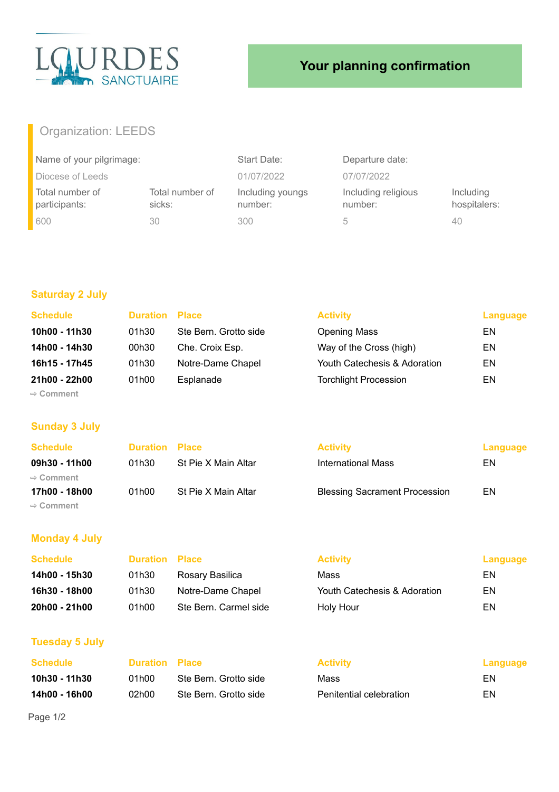

# **Your planning confirmation**

## Organization: LEEDS

| Name of your pilgrimage:         |                           | Start Date:                 | Departure date:                |                           |
|----------------------------------|---------------------------|-----------------------------|--------------------------------|---------------------------|
| Diocese of Leeds                 |                           | 01/07/2022                  | 07/07/2022                     |                           |
| Total number of<br>participants: | Total number of<br>sicks: | Including youngs<br>number: | Including religious<br>number: | Including<br>hospitalers: |
| 600                              | 30                        | 300                         | h                              | 40                        |

## **Saturday 2 July**

| <b>Schedule</b>       | <b>Duration Place</b> |                       | <b>Activity</b>              | Language |
|-----------------------|-----------------------|-----------------------|------------------------------|----------|
| 10h00 - 11h30         | 01h30                 | Ste Bern. Grotto side | <b>Opening Mass</b>          | EN       |
| 14h00 - 14h30         | 00h30                 | Che. Croix Esp.       | Way of the Cross (high)      | EN       |
| 16h15 - 17h45         | 01h30                 | Notre-Dame Chapel     | Youth Catechesis & Adoration | EN       |
| 21h00 - 22h00         | 01h00                 | Esplanade             | <b>Torchlight Procession</b> | EN       |
| $\Rightarrow$ Comment |                       |                       |                              |          |

#### **Sunday 3 July**

| <b>Schedule</b>       | <b>Duration Place</b> |                     | <b>Activity</b>                      | Language |
|-----------------------|-----------------------|---------------------|--------------------------------------|----------|
| 09h30 - 11h00         | 01h30                 | St Pie X Main Altar | International Mass                   | ΕN       |
| $\Rightarrow$ Comment |                       |                     |                                      |          |
| 17h00 - 18h00         | 01h00                 | St Pie X Main Altar | <b>Blessing Sacrament Procession</b> | EN       |
| $\Rightarrow$ Comment |                       |                     |                                      |          |

## **Monday 4 July**

| <b>Schedule</b> | <b>Duration Place</b> |                       | <b>Activity</b>              | Language |
|-----------------|-----------------------|-----------------------|------------------------------|----------|
| 14h00 - 15h30   | 01h30                 | Rosary Basilica       | Mass                         | EN       |
| 16h30 - 18h00   | 01h30                 | Notre-Dame Chapel     | Youth Catechesis & Adoration | EN       |
| 20h00 - 21h00   | 01h00                 | Ste Bern. Carmel side | Holy Hour                    | EN       |

#### **Tuesday 5 July**

| Schedule      | <b>Duration Place</b> |                       | <b>Activity</b>         | Language |
|---------------|-----------------------|-----------------------|-------------------------|----------|
| 10h30 - 11h30 | 01h00                 | Ste Bern. Grotto side | Mass                    | EN.      |
| 14h00 - 16h00 | 02h00.                | Ste Bern. Grotto side | Penitential celebration | EN.      |

Page 1/2

| <b>Activity</b>         | Langu |
|-------------------------|-------|
| Mass                    | FN    |
| Penitential celebration | FN    |